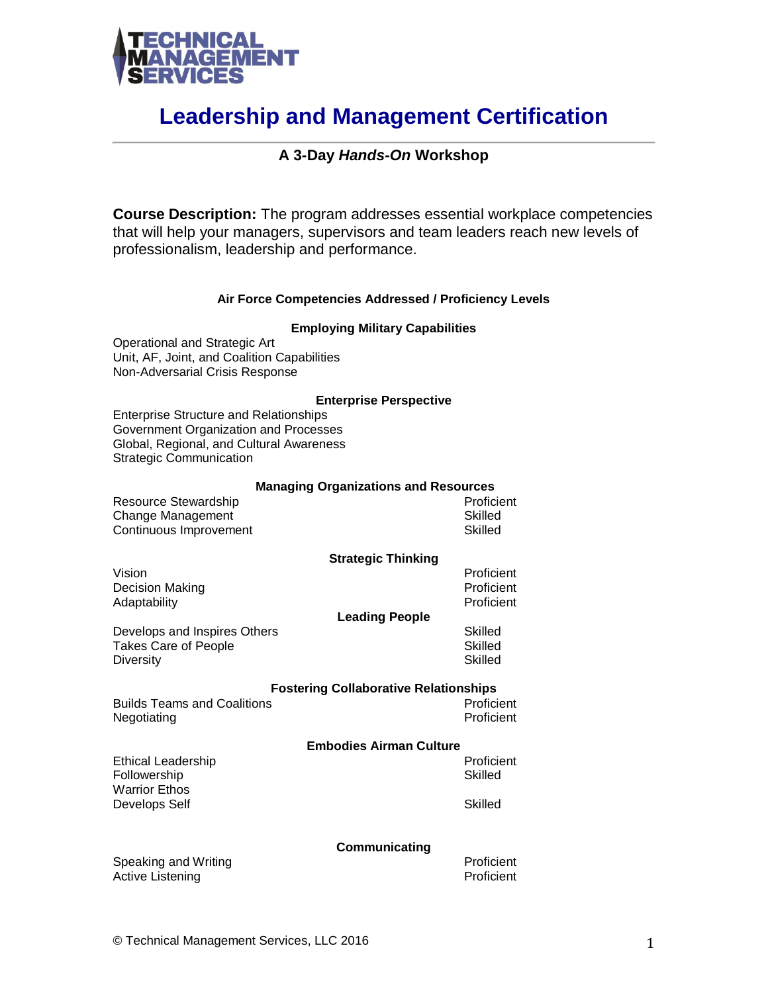

# **Leadership and Management Certification**

# **A 3-Day** *Hands-On* **Workshop**

**Course Description:** The program addresses essential workplace competencies that will help your managers, supervisors and team leaders reach new levels of professionalism, leadership and performance.

### **Air Force Competencies Addressed / Proficiency Levels**

#### **Employing Military Capabilities**

Operational and Strategic Art Unit, AF, Joint, and Coalition Capabilities Non-Adversarial Crisis Response

#### **Enterprise Perspective**

Enterprise Structure and Relationships Government Organization and Processes Global, Regional, and Cultural Awareness Strategic Communication

#### **Managing Organizations and Resources**

| Resource Stewardship   | Proficient |
|------------------------|------------|
| Change Management      | Skilled    |
| Continuous Improvement | Skilled    |

#### **Strategic Thinking**

Vision Proficient Decision Making Proficient<br>Adaptability Proficient Proficient Proficient Adaptability

#### **Leading People**

Develops and Inspires Others Skilled Takes Care of People **Skilled** Diversity **Skilled** 

**Fostering Collaborative Relationships**

Builds Teams and Coalitions **Proficient** Proficient Negotiating **Proficient** 

## **Embodies Airman Culture**

Ethical Leadership **Proficient** Followership Skilled Warrior Ethos Develops Self Skilled

#### **Communicating**

Speaking and Writing **Proficient** Proficient Active Listening Proficient